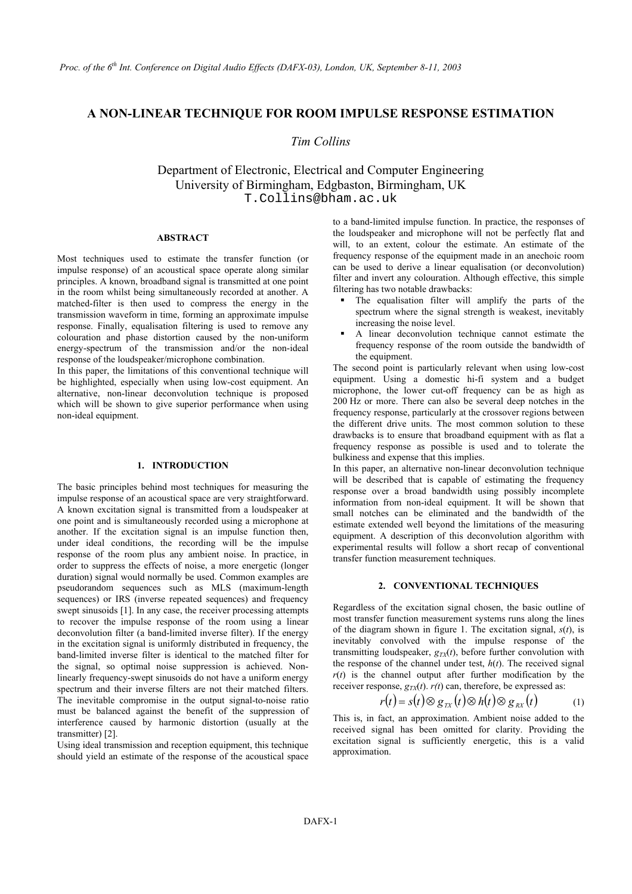# **A NON-LINEAR TECHNIQUE FOR ROOM IMPULSE RESPONSE ESTIMATION**

# *Tim Collins*

Department of Electronic, Electrical and Computer Engineering University of Birmingham, Edgbaston, Birmingham, UK T.Collins@bham.ac.uk

## **ABSTRACT**

Most techniques used to estimate the transfer function (or impulse response) of an acoustical space operate along similar principles. A known, broadband signal is transmitted at one point in the room whilst being simultaneously recorded at another. A matched-filter is then used to compress the energy in the transmission waveform in time, forming an approximate impulse response. Finally, equalisation filtering is used to remove any colouration and phase distortion caused by the non-uniform energy-spectrum of the transmission and/or the non-ideal response of the loudspeaker/microphone combination.

In this paper, the limitations of this conventional technique will be highlighted, especially when using low-cost equipment. An alternative, non-linear deconvolution technique is proposed which will be shown to give superior performance when using non-ideal equipment.

# **1. INTRODUCTION**

The basic principles behind most techniques for measuring the impulse response of an acoustical space are very straightforward. A known excitation signal is transmitted from a loudspeaker at one point and is simultaneously recorded using a microphone at another. If the excitation signal is an impulse function then, under ideal conditions, the recording will be the impulse response of the room plus any ambient noise. In practice, in order to suppress the effects of noise, a more energetic (longer duration) signal would normally be used. Common examples are pseudorandom sequences such as MLS (maximum-length sequences) or IRS (inverse repeated sequences) and frequency swept sinusoids [1]. In any case, the receiver processing attempts to recover the impulse response of the room using a linear deconvolution filter (a band-limited inverse filter). If the energy in the excitation signal is uniformly distributed in frequency, the band-limited inverse filter is identical to the matched filter for the signal, so optimal noise suppression is achieved. Nonlinearly frequency-swept sinusoids do not have a uniform energy spectrum and their inverse filters are not their matched filters. The inevitable compromise in the output signal-to-noise ratio must be balanced against the benefit of the suppression of interference caused by harmonic distortion (usually at the transmitter) [2].

Using ideal transmission and reception equipment, this technique should yield an estimate of the response of the acoustical space

to a band-limited impulse function. In practice, the responses of the loudspeaker and microphone will not be perfectly flat and will, to an extent, colour the estimate. An estimate of the frequency response of the equipment made in an anechoic room can be used to derive a linear equalisation (or deconvolution) filter and invert any colouration. Although effective, this simple filtering has two notable drawbacks:

- The equalisation filter will amplify the parts of the spectrum where the signal strength is weakest, inevitably increasing the noise level.
- A linear deconvolution technique cannot estimate the frequency response of the room outside the bandwidth of the equipment.

The second point is particularly relevant when using low-cost equipment. Using a domestic hi-fi system and a budget microphone, the lower cut-off frequency can be as high as 200 Hz or more. There can also be several deep notches in the frequency response, particularly at the crossover regions between the different drive units. The most common solution to these drawbacks is to ensure that broadband equipment with as flat a frequency response as possible is used and to tolerate the bulkiness and expense that this implies.

In this paper, an alternative non-linear deconvolution technique will be described that is capable of estimating the frequency response over a broad bandwidth using possibly incomplete information from non-ideal equipment. It will be shown that small notches can be eliminated and the bandwidth of the estimate extended well beyond the limitations of the measuring equipment. A description of this deconvolution algorithm with experimental results will follow a short recap of conventional transfer function measurement techniques.

# **2. CONVENTIONAL TECHNIQUES**

Regardless of the excitation signal chosen, the basic outline of most transfer function measurement systems runs along the lines of the diagram shown in figure 1. The excitation signal, *s*(*t*), is inevitably convolved with the impulse response of the transmitting loudspeaker,  $g_{TX}(t)$ , before further convolution with the response of the channel under test,  $h(t)$ . The received signal  $r(t)$  is the channel output after further modification by the receiver response,  $g_{TX}(t)$ .  $r(t)$  can, therefore, be expressed as:

$$
r(t) = s(t) \otimes g_{TX}(t) \otimes h(t) \otimes g_{RX}(t) \tag{1}
$$

This is, in fact, an approximation. Ambient noise added to the received signal has been omitted for clarity. Providing the excitation signal is sufficiently energetic, this is a valid approximation.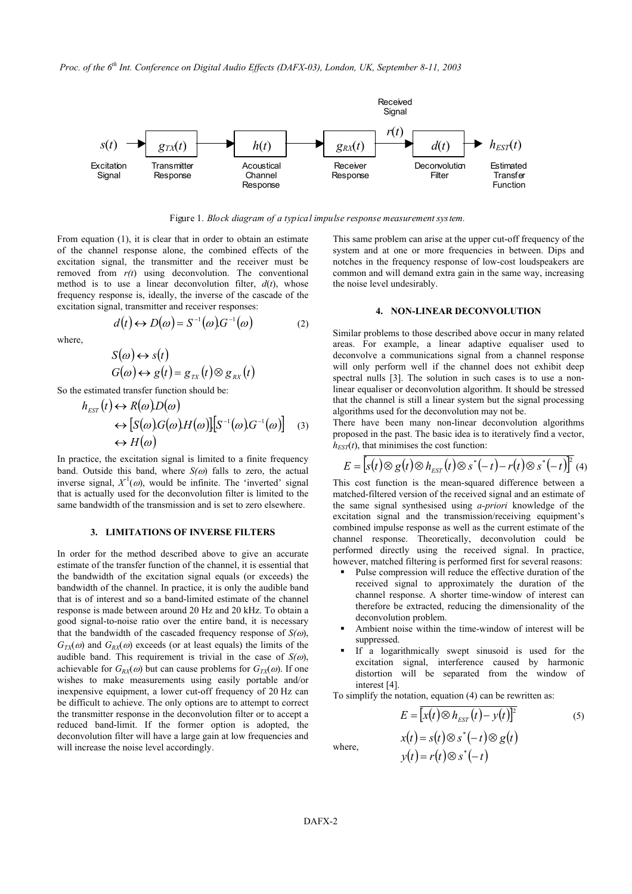*Proc. of the 6th Int. Conference on Digital Audio Effects (DAFX-03), London, UK, September 8-11, 2003* 



Figure 1. *Block diagram of a typical impulse response measurement system.*

From equation (1), it is clear that in order to obtain an estimate of the channel response alone, the combined effects of the excitation signal, the transmitter and the receiver must be removed from *r(t*) using deconvolution. The conventional method is to use a linear deconvolution filter,  $d(t)$ , whose frequency response is, ideally, the inverse of the cascade of the excitation signal, transmitter and receiver responses: **4. NON-LINEAR DECONVOLUTION** 

$$
d(t) \leftrightarrow D(\omega) = S^{-1}(\omega)G^{-1}(\omega) \tag{2}
$$

where,

$$
S(\omega) \leftrightarrow s(t)
$$
  

$$
G(\omega) \leftrightarrow g(t) = g_{TX}(t) \otimes g_{RX}(t)
$$

So the estimated transfer function should be:

$$
h_{EST}(t) \leftrightarrow R(\omega)D(\omega)
$$
  
\n
$$
\leftrightarrow [S(\omega)G(\omega)H(\omega)][S^{-1}(\omega)G^{-1}(\omega)] \quad (3)
$$
  
\n
$$
\leftrightarrow H(\omega)
$$

In practice, the excitation signal is limited to a finite frequency band. Outside this band, where  $S(\omega)$  falls to zero, the actual inverse signal,  $X^1(\omega)$ , would be infinite. The 'inverted' signal that is actually used for the deconvolution filter is limited to the same bandwidth of the transmission and is set to zero elsewhere.

# **3. LIMITATIONS OF INVERSE FILTERS**

In order for the method described above to give an accurate estimate of the transfer function of the channel, it is essential that the bandwidth of the excitation signal equals (or exceeds) the bandwidth of the channel. In practice, it is only the audible band that is of interest and so a band-limited estimate of the channel response is made between around 20 Hz and 20 kHz. To obtain a good signal-to-noise ratio over the entire band, it is necessary that the bandwidth of the cascaded frequency response of  $S(\omega)$ ,  $G_T(x)$  and  $G_R(x)$  exceeds (or at least equals) the limits of the audible band. This requirement is trivial in the case of  $S(\omega)$ , achievable for  $G_{RX}(\omega)$  but can cause problems for  $G_{TX}(\omega)$ . If one wishes to make measurements using easily portable and/or inexpensive equipment, a lower cut-off frequency of 20 Hz can be difficult to achieve. The only options are to attempt to correct the transmitter response in the deconvolution filter or to accept a reduced band-limit. If the former option is adopted, the deconvolution filter will have a large gain at low frequencies and will increase the noise level accordingly.

This same problem can arise at the upper cut-off frequency of the system and at one or more frequencies in between. Dips and notches in the frequency response of low-cost loudspeakers are common and will demand extra gain in the same way, increasing the noise level undesirably.

Similar problems to those described above occur in many related areas. For example, a linear adaptive equaliser used to deconvolve a communications signal from a channel response will only perform well if the channel does not exhibit deep spectral nulls [3]. The solution in such cases is to use a nonlinear equaliser or deconvolution algorithm. It should be stressed that the channel is still a linear system but the signal processing algorithms used for the deconvolution may not be.

There have been many non-linear deconvolution algorithms proposed in the past. The basic idea is to iteratively find a vector,  $h_{EST}(t)$ , that minimises the cost function:

$$
E = \left[ s(t) \otimes g(t) \otimes h_{EST}(t) \otimes s^*(-t) - r(t) \otimes s^*(-t) \right]^2
$$
 (4)

This cost function is the mean-squared difference between a matched-filtered version of the received signal and an estimate of the same signal synthesised using *a-priori* knowledge of the excitation signal and the transmission/receiving equipment's combined impulse response as well as the current estimate of the channel response. Theoretically, deconvolution could be performed directly using the received signal. In practice, however, matched filtering is performed first for several reasons:

- Pulse compression will reduce the effective duration of the received signal to approximately the duration of the channel response. A shorter time-window of interest can therefore be extracted, reducing the dimensionality of the deconvolution problem.
- Ambient noise within the time-window of interest will be suppressed.
- If a logarithmically swept sinusoid is used for the excitation signal, interference caused by harmonic distortion will be separated from the window of interest [4].

To simplify the notation, equation (4) can be rewritten as:

$$
E = [x(t) \otimes h_{EST}(t) - y(t)]^{2}
$$
\n
$$
x(t) = s(t) \otimes s^{*}(-t) \otimes g(t)
$$
\nwhere,  
\n
$$
y(t) = r(t) \otimes s^{*}(-t)
$$
\n(5)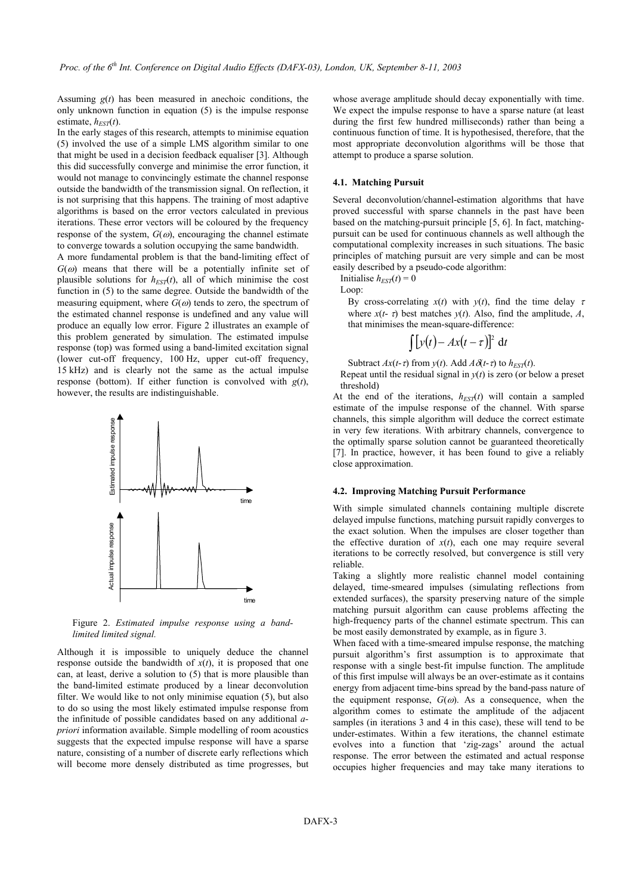Assuming  $g(t)$  has been measured in anechoic conditions, the only unknown function in equation (5) is the impulse response estimate,  $h_{EST}(t)$ .

In the early stages of this research, attempts to minimise equation (5) involved the use of a simple LMS algorithm similar to one that might be used in a decision feedback equaliser [3]. Although this did successfully converge and minimise the error function, it would not manage to convincingly estimate the channel response outside the bandwidth of the transmission signal. On reflection, it is not surprising that this happens. The training of most adaptive algorithms is based on the error vectors calculated in previous iterations. These error vectors will be coloured by the frequency response of the system,  $G(\omega)$ , encouraging the channel estimate to converge towards a solution occupying the same bandwidth.

A more fundamental problem is that the band-limiting effect of  $G(\omega)$  means that there will be a potentially infinite set of plausible solutions for  $h_{EST}(t)$ , all of which minimise the cost function in (5) to the same degree. Outside the bandwidth of the measuring equipment, where  $G(\omega)$  tends to zero, the spectrum of the estimated channel response is undefined and any value will produce an equally low error. Figure 2 illustrates an example of this problem generated by simulation. The estimated impulse response (top) was formed using a band-limited excitation signal (lower cut-off frequency, 100 Hz, upper cut-off frequency, 15 kHz) and is clearly not the same as the actual impulse response (bottom). If either function is convolved with *g*(*t*), however, the results are indistinguishable.



Figure 2. *Estimated impulse response using a bandlimited limited signal.*

Although it is impossible to uniquely deduce the channel response outside the bandwidth of  $x(t)$ , it is proposed that one can, at least, derive a solution to (5) that is more plausible than the band-limited estimate produced by a linear deconvolution filter. We would like to not only minimise equation (5), but also to do so using the most likely estimated impulse response from the infinitude of possible candidates based on any additional *apriori* information available. Simple modelling of room acoustics suggests that the expected impulse response will have a sparse nature, consisting of a number of discrete early reflections which will become more densely distributed as time progresses, but

whose average amplitude should decay exponentially with time. We expect the impulse response to have a sparse nature (at least during the first few hundred milliseconds) rather than being a continuous function of time. It is hypothesised, therefore, that the most appropriate deconvolution algorithms will be those that attempt to produce a sparse solution.

# **4.1. Matching Pursuit**

Several deconvolution/channel-estimation algorithms that have proved successful with sparse channels in the past have been based on the matching-pursuit principle [5, 6]. In fact, matchingpursuit can be used for continuous channels as well although the computational complexity increases in such situations. The basic principles of matching pursuit are very simple and can be most easily described by a pseudo-code algorithm:

Initialise  $h_{EST}(t) = 0$ 

Loop:

By cross-correlating  $x(t)$  with  $y(t)$ , find the time delay  $\tau$ where  $x(t - \tau)$  best matches  $y(t)$ . Also, find the amplitude, *A*, that minimises the mean-square-difference:

$$
\int [y(t) - Ax(t-\tau)]^2 dt
$$

Subtract  $Ax(t-\tau)$  from  $y(t)$ . Add  $A\delta(t-\tau)$  to  $h_{EST}(t)$ .

Repeat until the residual signal in  $y(t)$  is zero (or below a preset threshold)

At the end of the iterations,  $h_{EST}(t)$  will contain a sampled estimate of the impulse response of the channel. With sparse channels, this simple algorithm will deduce the correct estimate in very few iterations. With arbitrary channels, convergence to the optimally sparse solution cannot be guaranteed theoretically [7]. In practice, however, it has been found to give a reliably close approximation.

# **4.2. Improving Matching Pursuit Performance**

With simple simulated channels containing multiple discrete delayed impulse functions, matching pursuit rapidly converges to the exact solution. When the impulses are closer together than the effective duration of  $x(t)$ , each one may require several iterations to be correctly resolved, but convergence is still very reliable.

Taking a slightly more realistic channel model containing delayed, time-smeared impulses (simulating reflections from extended surfaces), the sparsity preserving nature of the simple matching pursuit algorithm can cause problems affecting the high-frequency parts of the channel estimate spectrum. This can be most easily demonstrated by example, as in figure 3.

When faced with a time-smeared impulse response, the matching pursuit algorithm's first assumption is to approximate that response with a single best-fit impulse function. The amplitude of this first impulse will always be an over-estimate as it contains energy from adjacent time-bins spread by the band-pass nature of the equipment response,  $G(\omega)$ . As a consequence, when the algorithm comes to estimate the amplitude of the adjacent samples (in iterations 3 and 4 in this case), these will tend to be under-estimates. Within a few iterations, the channel estimate evolves into a function that 'zig-zags' around the actual response. The error between the estimated and actual response occupies higher frequencies and may take many iterations to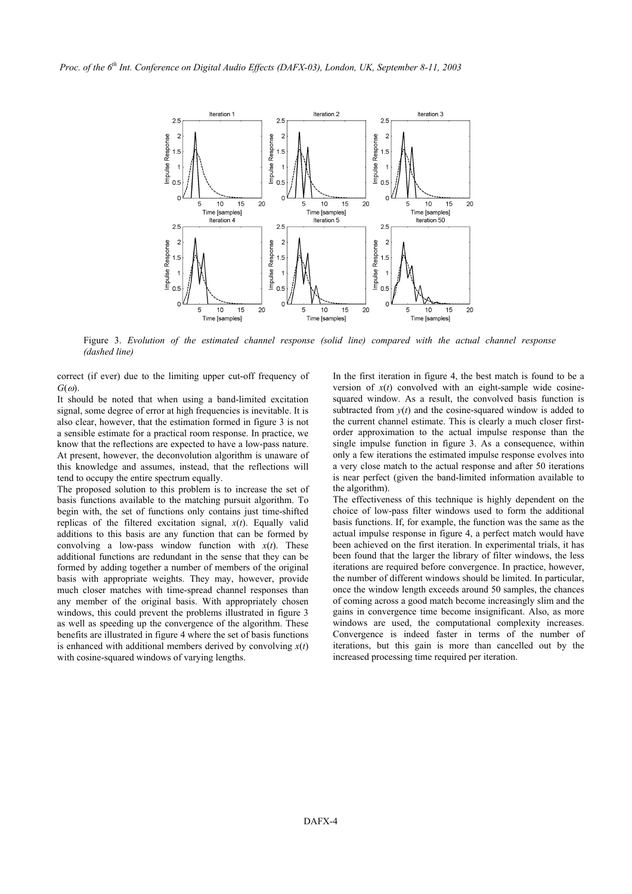

Figure 3. *Evolution of the estimated channel response (solid line) compared with the actual channel response (dashed line)*

correct (if ever) due to the limiting upper cut-off frequency of *G*(ω).

It should be noted that when using a band-limited excitation signal, some degree of error at high frequencies is inevitable. It is also clear, however, that the estimation formed in figure 3 is not a sensible estimate for a practical room response. In practice, we know that the reflections are expected to have a low-pass nature. At present, however, the deconvolution algorithm is unaware of this knowledge and assumes, instead, that the reflections will tend to occupy the entire spectrum equally.

The proposed solution to this problem is to increase the set of basis functions available to the matching pursuit algorithm. To begin with, the set of functions only contains just time-shifted replicas of the filtered excitation signal, *x*(*t*). Equally valid additions to this basis are any function that can be formed by convolving a low-pass window function with  $x(t)$ . These additional functions are redundant in the sense that they can be formed by adding together a number of members of the original basis with appropriate weights. They may, however, provide much closer matches with time-spread channel responses than any member of the original basis. With appropriately chosen windows, this could prevent the problems illustrated in figure 3 as well as speeding up the convergence of the algorithm. These benefits are illustrated in figure 4 where the set of basis functions is enhanced with additional members derived by convolving  $x(t)$ with cosine-squared windows of varying lengths.

In the first iteration in figure 4, the best match is found to be a version of  $x(t)$  convolved with an eight-sample wide cosinesquared window. As a result, the convolved basis function is subtracted from  $y(t)$  and the cosine-squared window is added to the current channel estimate. This is clearly a much closer firstorder approximation to the actual impulse response than the single impulse function in figure 3. As a consequence, within only a few iterations the estimated impulse response evolves into a very close match to the actual response and after 50 iterations is near perfect (given the band-limited information available to the algorithm).

The effectiveness of this technique is highly dependent on the choice of low-pass filter windows used to form the additional basis functions. If, for example, the function was the same as the actual impulse response in figure 4, a perfect match would have been achieved on the first iteration. In experimental trials, it has been found that the larger the library of filter windows, the less iterations are required before convergence. In practice, however, the number of different windows should be limited. In particular, once the window length exceeds around 50 samples, the chances of coming across a good match become increasingly slim and the gains in convergence time become insignificant. Also, as more windows are used, the computational complexity increases. Convergence is indeed faster in terms of the number of iterations, but this gain is more than cancelled out by the increased processing time required per iteration.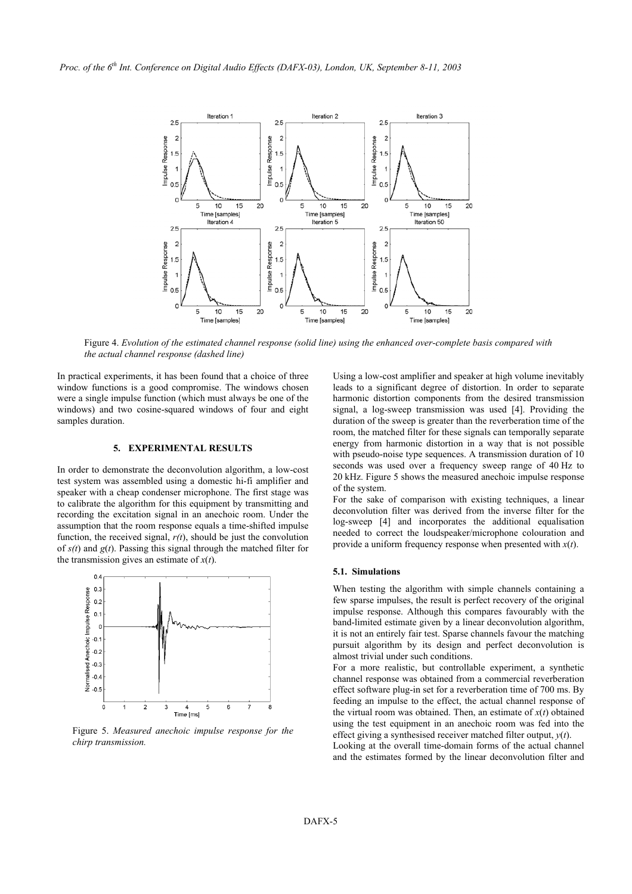

Figure 4. *Evolution of the estimated channel response (solid line) using the enhanced over-complete basis compared with the actual channel response (dashed line)*

In practical experiments, it has been found that a choice of three window functions is a good compromise. The windows chosen were a single impulse function (which must always be one of the windows) and two cosine-squared windows of four and eight samples duration.

# **5. EXPERIMENTAL RESULTS**

In order to demonstrate the deconvolution algorithm, a low-cost test system was assembled using a domestic hi-fi amplifier and speaker with a cheap condenser microphone. The first stage was to calibrate the algorithm for this equipment by transmitting and recording the excitation signal in an anechoic room. Under the assumption that the room response equals a time-shifted impulse function, the received signal, *r(t*), should be just the convolution of *s(t*) and *g*(*t*). Passing this signal through the matched filter for the transmission gives an estimate of *x*(*t*).



Figure 5. *Measured anechoic impulse response for the* effect giving a synthesised receiver matched filter output, *y(t)*. *chirp transmission*.

Using a low-cost amplifier and speaker at high volume inevitably leads to a significant degree of distortion. In order to separate harmonic distortion components from the desired transmission signal, a log-sweep transmission was used [4]. Providing the duration of the sweep is greater than the reverberation time of the room, the matched filter for these signals can temporally separate energy from harmonic distortion in a way that is not possible with pseudo-noise type sequences. A transmission duration of 10 seconds was used over a frequency sweep range of 40 Hz to 20 kHz. Figure 5 shows the measured anechoic impulse response of the system.

For the sake of comparison with existing techniques, a linear deconvolution filter was derived from the inverse filter for the log-sweep [4] and incorporates the additional equalisation needed to correct the loudspeaker/microphone colouration and provide a uniform frequency response when presented with *x*(*t*).

#### **5.1. Simulations**

When testing the algorithm with simple channels containing a few sparse impulses, the result is perfect recovery of the original impulse response. Although this compares favourably with the band-limited estimate given by a linear deconvolution algorithm, it is not an entirely fair test. Sparse channels favour the matching pursuit algorithm by its design and perfect deconvolution is almost trivial under such conditions.

For a more realistic, but controllable experiment, a synthetic channel response was obtained from a commercial reverberation effect software plug-in set for a reverberation time of 700 ms. By feeding an impulse to the effect, the actual channel response of the virtual room was obtained. Then, an estimate of  $x(t)$  obtained using the test equipment in an anechoic room was fed into the

Looking at the overall time-domain forms of the actual channel and the estimates formed by the linear deconvolution filter and